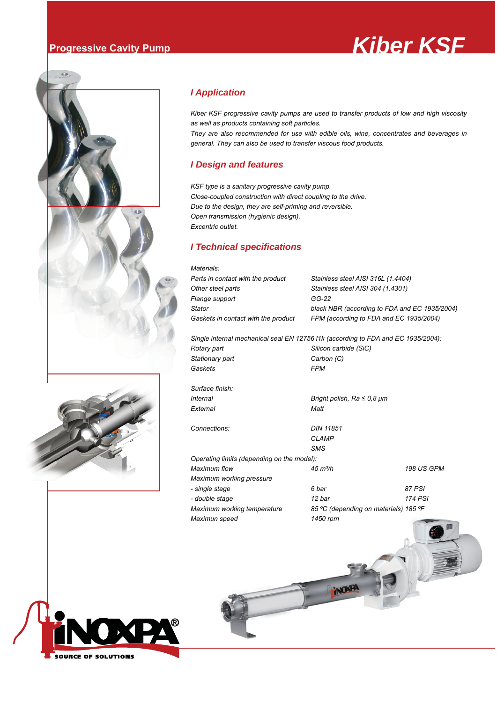# **Progressive Cavity Pump Kiber KSF**





# *I Application*

*Kiber KSF progressive cavity pumps are used to transfer products of low and high viscosity as well as products containing soft particles.*

*They are also recommended for use with edible oils, wine, concentrates and beverages in general. They can also be used to transfer viscous food products.*

#### *I Design and features*

*KSF type is a sanitary progressive cavity pump. Close-coupled construction with direct coupling to the drive. Due to the design, they are self-priming and reversible. Open transmission (hygienic design). Excentric outlet.*

#### *I Technical specifications*

*Materials: Parts in contact with the product Stainless steel AISI 316L (1.4404) Other steel parts* Stainless steel AISI 304 (1.4301) *Flange support GG-22 Stator black NBR (according to FDA and EC 1935/2004) Gaskets in contact with the product FPM (according to FDA and EC 1935/2004)*

*Single internal mechanical seal EN 12756 l1k (according to FDA and EC 1935/2004): Rotary part Silicon carbide (SiC) Stationary part Carbon (C) Gaskets FPM*

| Surface finish:<br>Internal<br>External    | Bright polish, $Ra \leq 0.8$ µm<br>Matt |                   |
|--------------------------------------------|-----------------------------------------|-------------------|
| Connections:                               | <b>DIN 11851</b>                        |                   |
|                                            | <i>CLAMP</i>                            |                   |
|                                            | SMS                                     |                   |
| Operating limits (depending on the model): |                                         |                   |
| Maximum flow                               | $45 \text{ m}^3\text{/h}$               | <b>198 US GPM</b> |
| Maximum working pressure                   |                                         |                   |
| - single stage                             | 6 bar                                   | 87 PSI            |
| - double stage                             | 12 bar                                  | 174 PSI           |
| Maximum working temperature                | 85 °C (depending on materials) 185 °F   |                   |
| Maximun speed                              | 1450 rpm                                |                   |

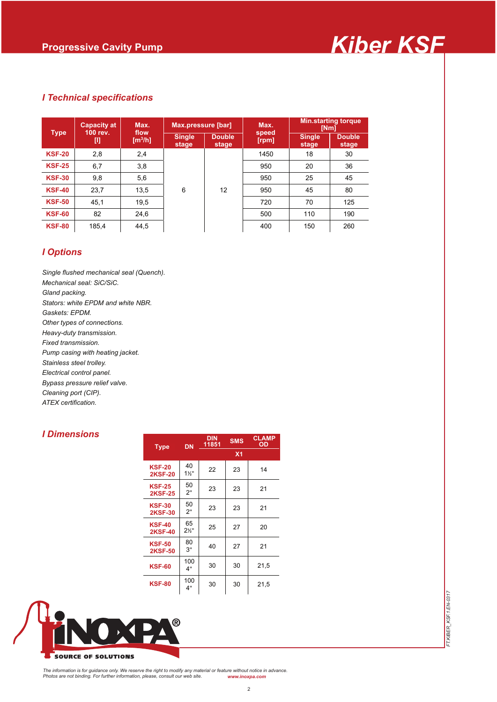

*FT.KIBER\_KSF.1.EN-0317*

FT.KIBER\_KSF.1.EN-0317

# *I Technical specifications*

| <b>Type</b>   | <b>Capacity at</b><br>100 rev. | Max.                        | <b>Max.pressure [bar]</b> |                        | Max.           | <b>Min.starting torque</b><br>[Nm] |                        |  |  |  |
|---------------|--------------------------------|-----------------------------|---------------------------|------------------------|----------------|------------------------------------|------------------------|--|--|--|
|               | w                              | flow<br>[m <sup>3</sup> /h] | <b>Single</b><br>stage    | <b>Double</b><br>stage | speed<br>[rpm] | Single<br>stage                    | <b>Double</b><br>stage |  |  |  |
| <b>KSF-20</b> | 2,8                            | 2,4                         |                           |                        | 1450           | 18                                 | 30                     |  |  |  |
| <b>KSF-25</b> | 6,7                            | 3,8                         |                           |                        | 950            | 20                                 | 36                     |  |  |  |
| <b>KSF-30</b> | 9,8                            | 5,6                         |                           |                        | 950            | 25                                 | 45                     |  |  |  |
| <b>KSF-40</b> | 23,7                           | 13,5                        | 6                         | 12                     | 950            | 45                                 | 80                     |  |  |  |
| <b>KSF-50</b> | 45,1                           | 19,5                        |                           |                        | 720            | 70                                 | 125                    |  |  |  |
| <b>KSF-60</b> | 82                             | 24,6                        |                           |                        | 500            | 110                                | 190                    |  |  |  |
| <b>KSF-80</b> | 185,4                          | 44,5                        |                           |                        | 400            | 150                                | 260                    |  |  |  |

# *I Options*

*Single flushed mechanical seal (Quench). Mechanical seal: SiC/SiC. Gland packing. Stators: white EPDM and white NBR. Gaskets: EPDM. Other types of connections. Heavy-duty transmission. Fixed transmission. Pump casing with heating jacket. Stainless steel trolley. Electrical control panel. Bypass pressure relief valve. Cleaning port (CIP). ATEX certification.*

#### *I Dimensions*

| <b>Type</b>                     | <b>DN</b>            | <b>DIN</b><br>11851 | <b>SMS</b>     | <b>CLAMP</b><br><b>OD</b> |  |  |  |
|---------------------------------|----------------------|---------------------|----------------|---------------------------|--|--|--|
|                                 |                      |                     | X <sub>1</sub> |                           |  |  |  |
| <b>KSF-20</b><br><b>2KSF-20</b> | 40<br>1 <sup>′</sup> | 22                  | 23             | 14                        |  |  |  |
| <b>KSF-25</b><br><b>2KSF-25</b> | 50<br>2"             | 23                  | 23             | 21                        |  |  |  |
| <b>KSF-30</b><br><b>2KSF-30</b> | 50<br>2"             | 23                  | 23             | 21                        |  |  |  |
| <b>KSF-40</b><br><b>2KSF-40</b> | 65<br>2 <sup>1</sup> | 25                  | 27             | 20                        |  |  |  |
| <b>KSF-50</b><br><b>2KSF-50</b> | 80<br>3"             | 40                  | 27             | 21                        |  |  |  |
| <b>KSF-60</b>                   | 100<br>4"            | 30                  | 30             | 21,5                      |  |  |  |
| <b>KSF-80</b>                   | 100<br>4"            | 30                  | 30             | 21,5                      |  |  |  |



The information is for guidance only. We reserve the right to modify any material or feature without notice in advance.<br>Photos are not binding. For further information, please, consult our web site. www.inoxpa.com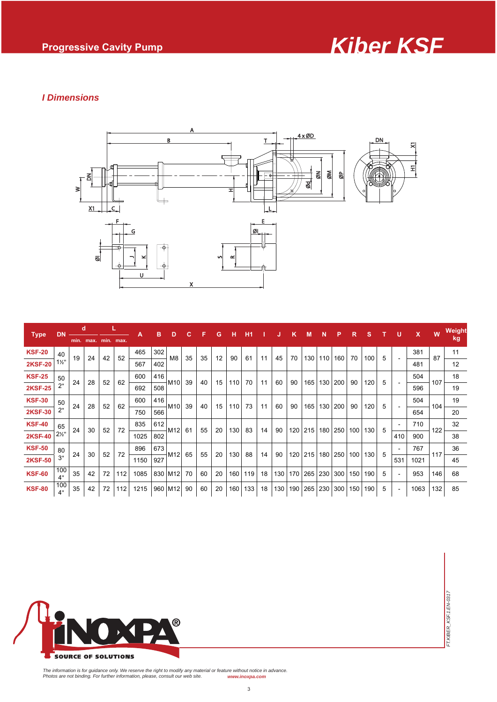

*FT.KIBER\_KSF.1.EN-0317*

FT.KIBER\_KSF.1.EN-0317

# *I Dimensions*



| <b>Type</b>    | <b>DN</b>      | d        |                     |    |     |      |     |            |    |                 |     |                  |     |     |                |     |     |      |     |     | в   | D  | С                        | F    | G                        | н   | H1  |     |                          | κ   | M   | N   | P   | R | s   |      | U | $\mathsf{X}$ | W | Weight |
|----------------|----------------|----------|---------------------|----|-----|------|-----|------------|----|-----------------|-----|------------------|-----|-----|----------------|-----|-----|------|-----|-----|-----|----|--------------------------|------|--------------------------|-----|-----|-----|--------------------------|-----|-----|-----|-----|---|-----|------|---|--------------|---|--------|
|                |                |          | min. max. min. max. |    |     |      |     |            |    |                 |     |                  |     |     |                |     |     |      |     |     |     |    |                          |      |                          | kg  |     |     |                          |     |     |     |     |   |     |      |   |              |   |        |
| <b>KSF-20</b>  | 40             | 19<br>24 |                     |    |     |      |     |            |    |                 | 42  | 52               | 465 | 302 | M <sub>8</sub> | 35  | 35  | 12   | 90  | 61  | 11  | 45 | 70                       | 130  |                          |     | 70  | 100 | 5                        |     | 381 | 87  | 11  |   |     |      |   |              |   |        |
| <b>2KSF-20</b> | $1\frac{1}{2}$ |          |                     |    |     | 567  | 402 |            |    |                 |     |                  |     |     |                |     |     | 110  | 160 |     |     |    |                          | 481  |                          | 12  |     |     |                          |     |     |     |     |   |     |      |   |              |   |        |
| <b>KSF-25</b>  | 50             |          |                     |    |     |      |     | 52         | 62 | 600             | 416 |                  |     |     |                |     |     |      |     | 90  |     |    |                          |      |                          |     |     | 504 |                          | 18  |     |     |     |   |     |      |   |              |   |        |
| <b>2KSF-25</b> | 2"             | 24       | 28                  |    |     | 692  | 508 | M10        | 39 | 40              | 15  | 110              | 70  | 11  | 60             |     | 165 | 130  | 200 | 90  | 120 | 5  |                          | 596  | 107                      | 19  |     |     |                          |     |     |     |     |   |     |      |   |              |   |        |
| <b>KSF-30</b>  | 50             |          |                     |    |     |      |     |            |    |                 |     | 28               |     | 62  | 600            | 416 |     |      |     |     |     | 73 | 11                       |      |                          |     | 130 |     |                          |     |     |     | 504 |   | 19  |      |   |              |   |        |
| <b>2KSF-30</b> | 2"             | 24       |                     | 52 |     | 750  | 566 | M10        | 39 | 40              | 15  | 110 <sub>1</sub> |     |     | 60             | 90  | 165 |      | 200 | 90  | 120 | 5  |                          | 654  | 104                      | 20  |     |     |                          |     |     |     |     |   |     |      |   |              |   |        |
| <b>KSF-40</b>  | 65             |          |                     |    | 30  | 52   | 72  | 835<br>612 |    | M <sub>12</sub> |     |                  |     |     |                |     |     |      | 215 | 180 | 250 |    | 130                      |      | $\overline{\phantom{0}}$ | 710 | 122 | 32  |                          |     |     |     |     |   |     |      |   |              |   |        |
| <b>2KSF-40</b> | 2 <sup>1</sup> | 24       |                     |    |     | 1025 | 802 |            | 61 | 55              | 20  | 130              | 83  | 14  | 90             | 120 |     |      |     | 100 |     | 5  | 410                      | 900  |                          | 38  |     |     |                          |     |     |     |     |   |     |      |   |              |   |        |
| <b>KSF-50</b>  | 80             | 24       | 30                  |    |     |      | 52  |            |    |                 | 72  | 896              | 673 |     |                |     |     |      |     |     |     |    |                          |      |                          |     |     |     | $\overline{\phantom{0}}$ | 767 | 117 | 36  |     |   |     |      |   |              |   |        |
| <b>2KSF-50</b> | 3"             |          |                     |    |     |      |     |            |    |                 |     |                  |     |     |                |     |     | 1150 | 927 | M12 | 65  | 55 | 20                       | 130  | 88                       | 14  | 90  | 120 | 215                      | 180 | 250 | 100 | 130 | 5 | 531 | 1021 |   | 45           |   |        |
| <b>KSF-60</b>  | 100<br>4"      | 35       | 42                  | 72 | 112 | 1085 |     | 830 M12    | 70 | 60              | 20  | 160              | 119 | 18  | 130            | 170 | 265 | 230  | 300 | 150 | 190 | 5  | $\overline{\phantom{0}}$ | 953  | 146                      | 68  |     |     |                          |     |     |     |     |   |     |      |   |              |   |        |
| <b>KSF-80</b>  | 100<br>4"      | 35       | 42                  | 72 | 112 | 1215 | 960 | M12        | 90 | 60              | 20  | 160              | 133 | 18  | 130            | 190 | 265 | 230  | 300 | 150 | 190 | 5  | $\overline{\phantom{a}}$ | 1063 | 132                      | 85  |     |     |                          |     |     |     |     |   |     |      |   |              |   |        |



The information is for guidance only. We reserve the right to modify any material or feature without notice in advance.<br>Photos are not binding. For further information, please, consult our web site. www.inoxpa.com